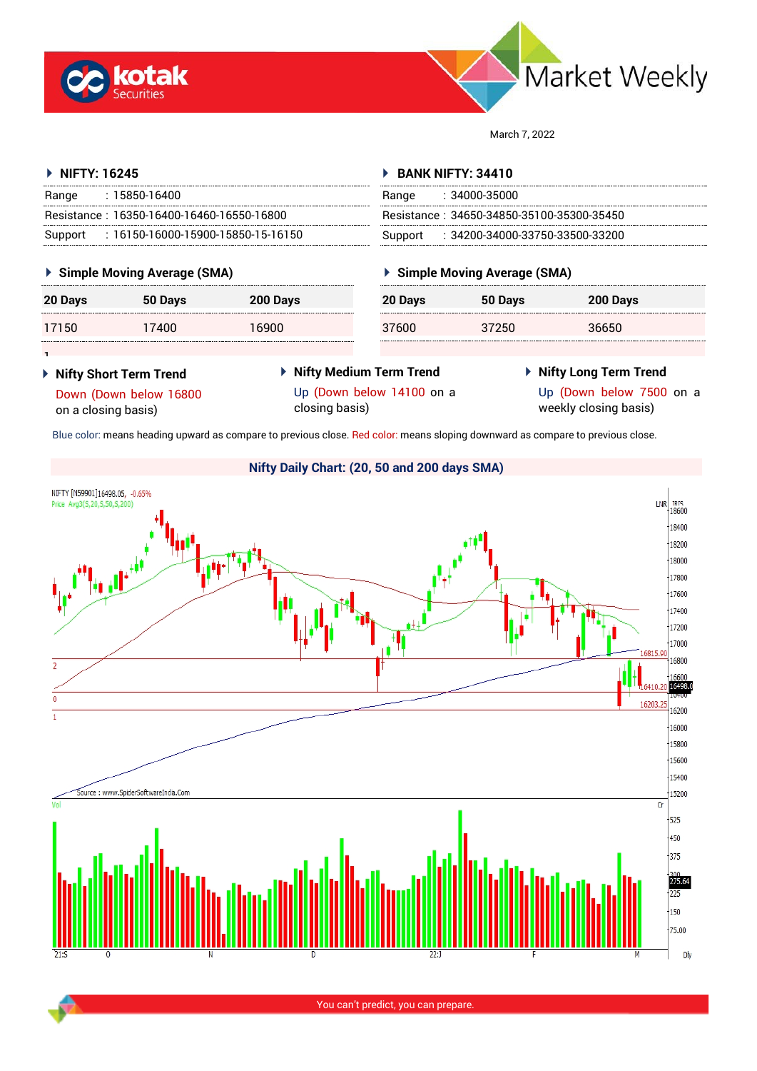



March 7, 2022

#### **NIFTY: 16245** Range : 15850-16400 Resistance : 16350-16400-16460-16550-16800 Support : 16150-16000-15900-15850-15-16150 **BANK NIFTY: 34410** Range : 34000-35000 Resistance : 34650-34850-35100-35300-35450 Support : 34200-34000-33750-33500-33200

### **Simple Moving Average (SMA)**

| 20 Days | 50 Days | 200 Days |
|---------|---------|----------|
| 17150   | 17400   | 16900    |

## **Simple Moving Average (SMA)**

| 20 Days | 50 Days | 200 Days |  |
|---------|---------|----------|--|
| 37600   | 37250   | 36650    |  |

1 **Nifty Short Term Trend** Down (Down below 16800

on a closing basis)

- **Nifty Medium Term Trend** Up (Down below 14100 on a closing basis)
- **Nifty Long Term Trend**

Up (Down below 7500 on a weekly closing basis)

Blue color: means heading upward as compare to previous close. Red color: means sloping downward as compare to previous close.



**Nifty Daily Chart: (20, 50 and 200 days SMA)**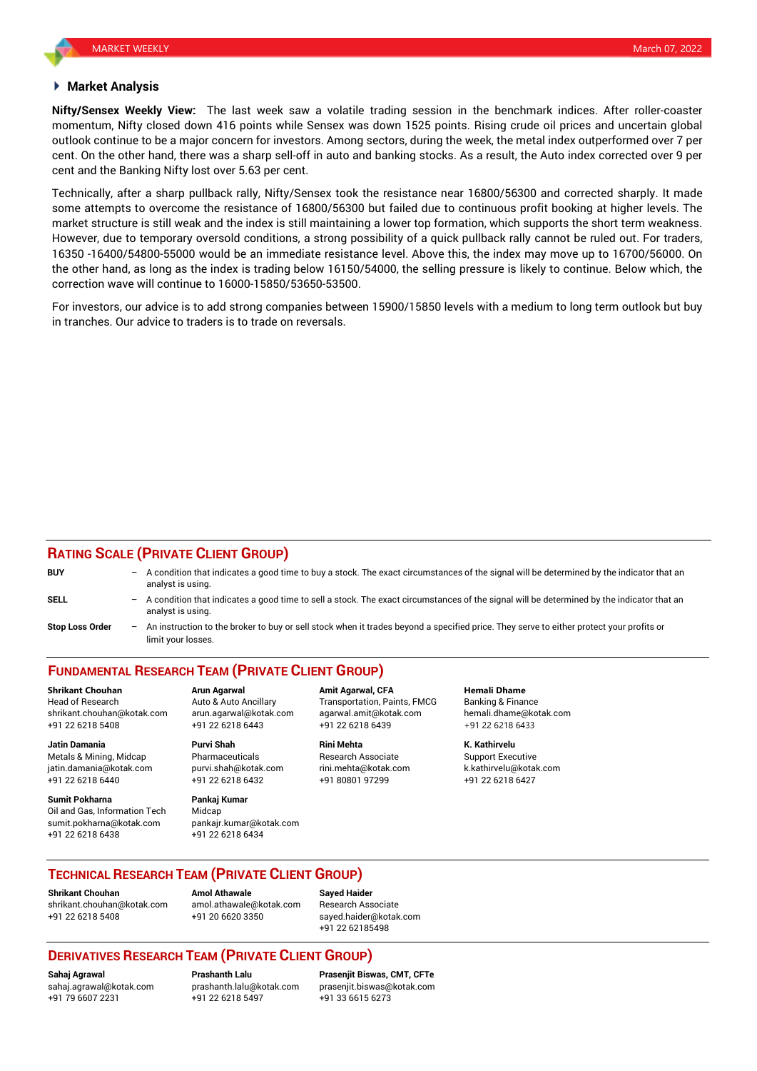#### **Market Analysis**

**Nifty/Sensex Weekly View:** The last week saw a volatile trading session in the benchmark indices. After roller-coaster momentum, Nifty closed down 416 points while Sensex was down 1525 points. Rising crude oil prices and uncertain global outlook continue to be a major concern for investors. Among sectors, during the week, the metal index outperformed over 7 per cent. On the other hand, there was a sharp sell-off in auto and banking stocks. As a result, the Auto index corrected over 9 per cent and the Banking Nifty lost over 5.63 per cent.

Technically, after a sharp pullback rally, Nifty/Sensex took the resistance near 16800/56300 and corrected sharply. It made some attempts to overcome the resistance of 16800/56300 but failed due to continuous profit booking at higher levels. The market structure is still weak and the index is still maintaining a lower top formation, which supports the short term weakness. However, due to temporary oversold conditions, a strong possibility of a quick pullback rally cannot be ruled out. For traders, 16350 -16400/54800-55000 would be an immediate resistance level. Above this, the index may move up to 16700/56000. On the other hand, as long as the index is trading below 16150/54000, the selling pressure is likely to continue. Below which, the correction wave will continue to 16000-15850/53650-53500.

For investors, our advice is to add strong companies between 15900/15850 levels with a medium to long term outlook but buy in tranches. Our advice to traders is to trade on reversals.

### **RATING SCALE (PRIVATE CLIENT GROUP)**

| <b>BUY</b>             |     | $-$ A condition that indicates a good time to buy a stock. The exact circumstances of the signal will be determined by the indicator that an<br>analyst is using. |
|------------------------|-----|-------------------------------------------------------------------------------------------------------------------------------------------------------------------|
| <b>SELL</b>            |     | - A condition that indicates a good time to sell a stock. The exact circumstances of the signal will be determined by the indicator that an<br>analyst is using.  |
| <b>Stop Loss Order</b> | $-$ | An instruction to the broker to buy or sell stock when it trades beyond a specified price. They serve to either protect your profits or<br>limit your losses.     |

# **FUNDAMENTAL RESEARCH TEAM (PRIVATE CLIENT GROUP)**

Head of Research **Auto & Auto Ancillary** Transportation, Paints, FMCG Banking & Finance shrikant.chouhan@kotak.com arun.agarwal@kotak.com [agarwal.amit@kotak.com](mailto:agarwal.amit@kotak.com) hemali.dhame@kotak.com +91 22 6218 5408 +91 22 6218 6443 +91 22 6218 6439 +91 22 6218 6433

Metals & Mining, Midcap Pharmaceuticals Research Associate Support Executive jatin.damania@kotak.com [purvi.shah@kotak.com](mailto:purvi.shah@kotak.com) rini.mehta@kotak.com [k.kathirvelu@kotak.com](mailto:k.kathirvelu@kotak.com) +91 22 6218 6440 +91 22 6218 6432 +91 80801 97299 +91 22 6218 6427

**Sumit Pokharna** Pankaj Kumar Oil and Gas, Information Tech Midcap sumit.pokharna@kotak.com +91 22 6218 6438 +91 22 6218 6434

**Jatin Damania Purvi Shah Rini Mehta K. Kathirvelu**

**Shrikant Chouhan Arun Agarwal Amit Agarwal, CFA Hemali Dhame**

#### **TECHNICAL RESEARCH TEAM (PRIVATE CLIENT GROUP)**

**Shrikant Chouhan Amol Athawale Sayed Haider** [shrikant.chouhan@kotak.com](mailto:shrikant.chouhan@kotak.com) [amol.athawale@kotak.com](mailto:amol.athawale@kotak.com) Research Associate +91 22 6218 5408 +91 20 6620 3350 [sayed.haider@kotak.com](mailto:sayed.haider@kotak.com)

+91 22 62185498

## **DERIVATIVES RESEARCH TEAM (PRIVATE CLIENT GROUP)**

+91 79 6607 2231 +91 22 6218 5497 +91 33 6615 6273

**Sahaj Agrawal Prashanth Lalu Prasenjit Biswas, CMT, CFTe** [prasenjit.biswas@kotak.com](mailto:prasenjit.biswas@kotak.com)